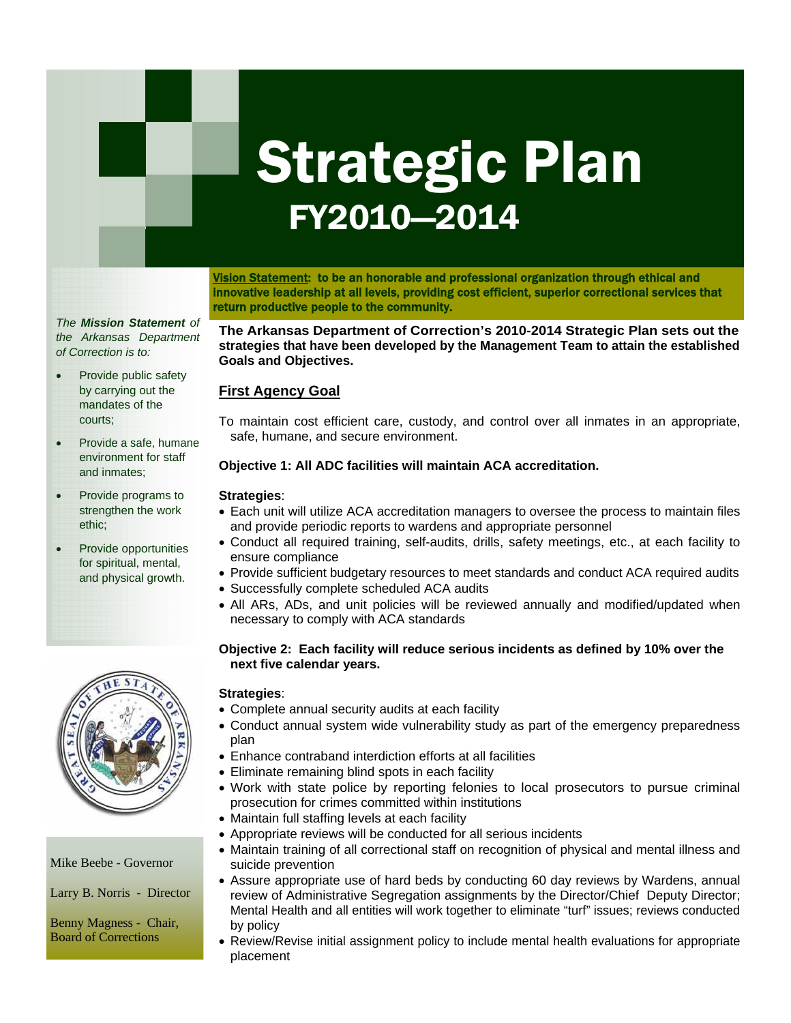# Strategic Plan FY2010—2014

Vision Statement: to be an honorable and professional organization through ethical and innovative leadership at all levels, providing cost efficient, superior correctional services that return productive people to the community.

*The Mission Statement of the Arkansas Department of Correction is to:* 

- Provide public safety by carrying out the mandates of the courts;
- Provide a safe, humane environment for staff and inmates;
- Provide programs to strengthen the work ethic;
- Provide opportunities for spiritual, mental, and physical growth.



Mike Beebe - Governor

Larry B. Norris - Director

Benny Magness - Chair, Board of Corrections

**The Arkansas Department of Correction's 2010-2014 Strategic Plan sets out the strategies that have been developed by the Management Team to attain the established Goals and Objectives.** 

# **First Agency Goal**

To maintain cost efficient care, custody, and control over all inmates in an appropriate, safe, humane, and secure environment.

## **Objective 1: All ADC facilities will maintain ACA accreditation.**

#### **Strategies**:

- Each unit will utilize ACA accreditation managers to oversee the process to maintain files and provide periodic reports to wardens and appropriate personnel
- $\theta$  are directed  $\Omega$  are surjected architecture. • Conduct all required training, self-audits, drills, safety meetings, etc., at each facility to ensure compliance
- Provide sufficient budgetary resources to meet standards and conduct ACA required audits
- Successfully complete scheduled ACA audits
- incidents and other perti-• All ARs, ADs, and unit policies will be reviewed annually and modified/updated when necessary to comply with ACA standards

#### **Objective 2: Each facility will reduce serious incidents as defined by 10% over the next five calendar years.**

## **Strategies**:

- Complete annual security audits at each facility
- Conduct annual system wide vulnerability study as part of the emergency preparedness plan
- Enhance contraband interdiction efforts at all facilities
- Eliminate remaining blind spots in each facility
- Work with state police by reporting felonies to local prosecutors to pursue criminal prosecution for crimes committed within institutions
- Maintain full staffing levels at each facility
- Appropriate reviews will be conducted for all serious incidents
- Maintain training of all correctional staff on recognition of physical and mental illness and suicide prevention
- Assure appropriate use of hard beds by conducting 60 day reviews by Wardens, annual review of Administrative Segregation assignments by the Director/Chief Deputy Director; Mental Health and all entities will work together to eliminate "turf" issues; reviews conducted by policy
- Review/Revise initial assignment policy to include mental health evaluations for appropriate placement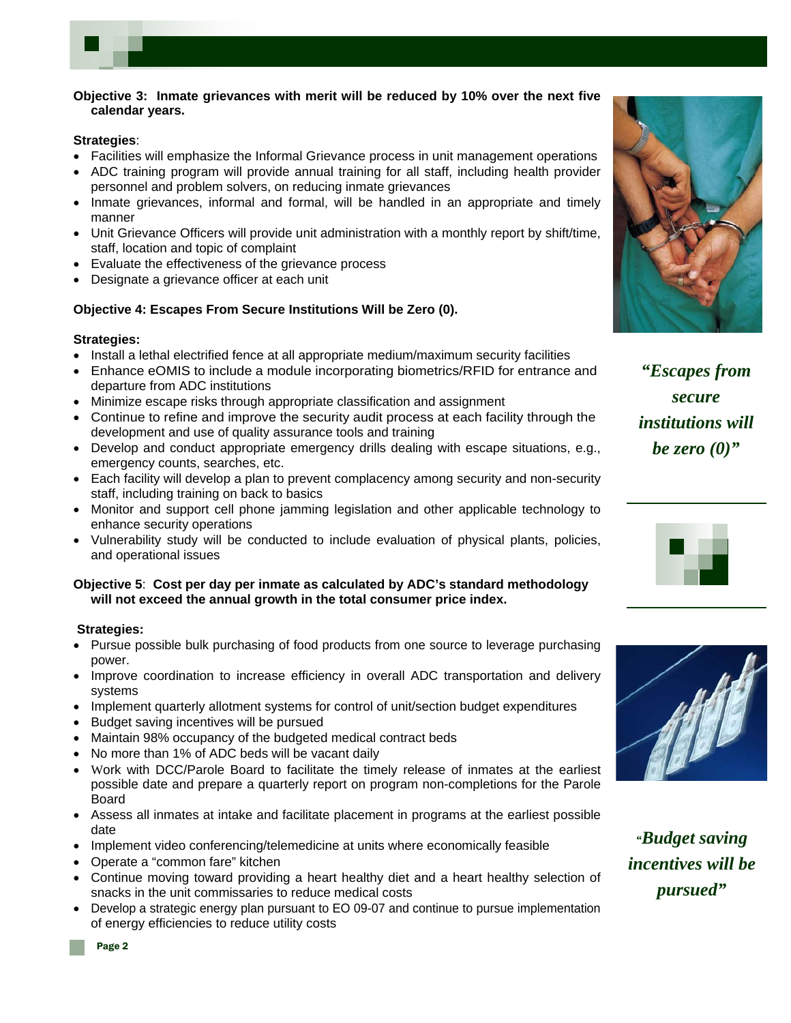

#### **Strategies**:

- Facilities will emphasize the Informal Grievance process in unit management operations
- ADC training program will provide annual training for all staff, including health provider personnel and problem solvers, on reducing inmate grievances
- Inmate grievances, informal and formal, will be handled in an appropriate and timely manner
- Unit Grievance Officers will provide unit administration with a monthly report by shift/time, staff, location and topic of complaint
- Evaluate the effectiveness of the grievance process
- Designate a grievance officer at each unit

#### **Objective 4: Escapes From Secure Institutions Will be Zero (0).**

#### **Strategies:**

- Install a lethal electrified fence at all appropriate medium/maximum security facilities
- Enhance eOMIS to include a module incorporating biometrics/RFID for entrance and departure from ADC institutions
- Minimize escape risks through appropriate classification and assignment
- Continue to refine and improve the security audit process at each facility through the development and use of quality assurance tools and training
- Develop and conduct appropriate emergency drills dealing with escape situations, e.g., emergency counts, searches, etc.
- Each facility will develop a plan to prevent complacency among security and non-security staff, including training on back to basics
- Monitor and support cell phone jamming legislation and other applicable technology to enhance security operations
- Vulnerability study will be conducted to include evaluation of physical plants, policies, and operational issues

#### **Objective 5**: **Cost per day per inmate as calculated by ADC's standard methodology will not exceed the annual growth in the total consumer price index.**

## **Strategies:**

- Pursue possible bulk purchasing of food products from one source to leverage purchasing power.
- Improve coordination to increase efficiency in overall ADC transportation and delivery systems
- Implement quarterly allotment systems for control of unit/section budget expenditures
- Budget saving incentives will be pursued
- Maintain 98% occupancy of the budgeted medical contract beds
- No more than 1% of ADC beds will be vacant daily
- Work with DCC/Parole Board to facilitate the timely release of inmates at the earliest possible date and prepare a quarterly report on program non-completions for the Parole Board
- Assess all inmates at intake and facilitate placement in programs at the earliest possible date
- Implement video conferencing/telemedicine at units where economically feasible
- Operate a "common fare" kitchen
- Continue moving toward providing a heart healthy diet and a heart healthy selection of snacks in the unit commissaries to reduce medical costs
- Develop a strategic energy plan pursuant to EO 09-07 and continue to pursue implementation of energy efficiencies to reduce utility costs



*"Escapes from secure institutions will be zero (0)"* 





*"Budget saving incentives will be pursued"*

Page 2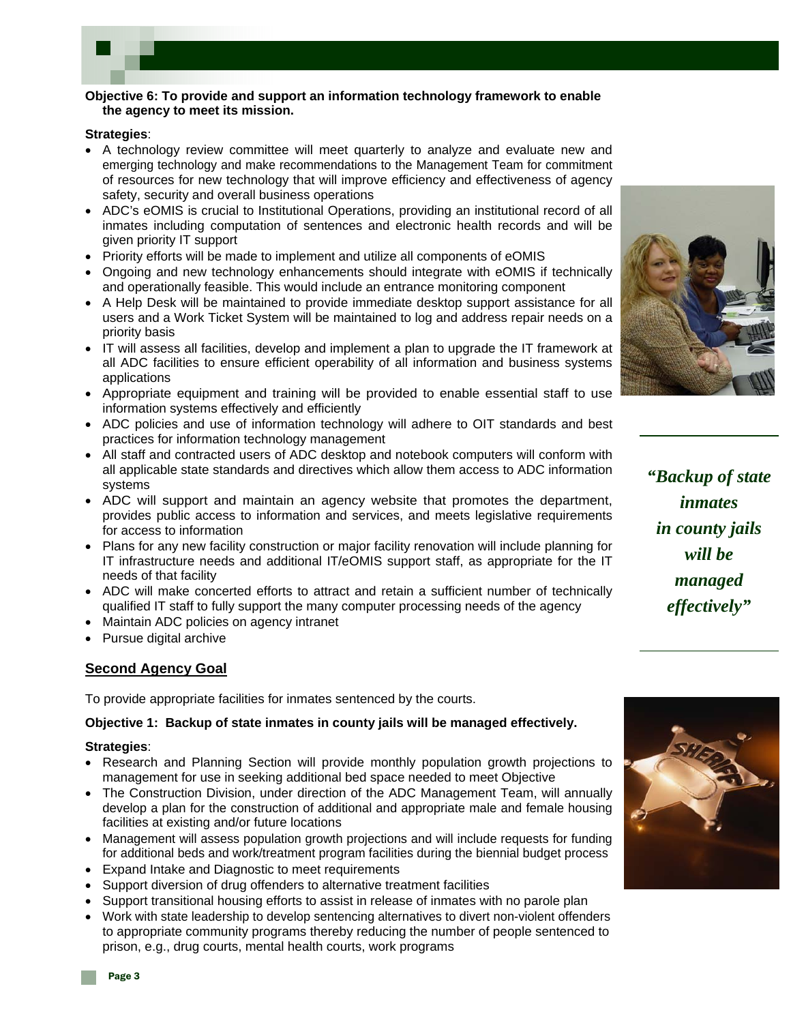

#### **Objective 6: To provide and support an information technology framework to enable the agency to meet its mission.**

#### **Strategies**:

- A technology review committee will meet quarterly to analyze and evaluate new and emerging technology and make recommendations to the Management Team for commitment of resources for new technology that will improve efficiency and effectiveness of agency safety, security and overall business operations
- ADC's eOMIS is crucial to Institutional Operations, providing an institutional record of all inmates including computation of sentences and electronic health records and will be given priority IT support
- Priority efforts will be made to implement and utilize all components of eOMIS
- Ongoing and new technology enhancements should integrate with eOMIS if technically and operationally feasible. This would include an entrance monitoring component
- A Help Desk will be maintained to provide immediate desktop support assistance for all users and a Work Ticket System will be maintained to log and address repair needs on a priority basis
- IT will assess all facilities, develop and implement a plan to upgrade the IT framework at all ADC facilities to ensure efficient operability of all information and business systems applications
- Appropriate equipment and training will be provided to enable essential staff to use information systems effectively and efficiently
- ADC policies and use of information technology will adhere to OIT standards and best practices for information technology management
- All staff and contracted users of ADC desktop and notebook computers will conform with all applicable state standards and directives which allow them access to ADC information systems
- ADC will support and maintain an agency website that promotes the department, provides public access to information and services, and meets legislative requirements for access to information
- Plans for any new facility construction or major facility renovation will include planning for IT infrastructure needs and additional IT/eOMIS support staff, as appropriate for the IT needs of that facility
- ADC will make concerted efforts to attract and retain a sufficient number of technically qualified IT staff to fully support the many computer processing needs of the agency
- Maintain ADC policies on agency intranet
- Pursue digital archive

# **Second Agency Goal**

To provide appropriate facilities for inmates sentenced by the courts.

## **Objective 1: Backup of state inmates in county jails will be managed effectively.**

#### **Strategies**:

- Research and Planning Section will provide monthly population growth projections to management for use in seeking additional bed space needed to meet Objective
- The Construction Division, under direction of the ADC Management Team, will annually develop a plan for the construction of additional and appropriate male and female housing facilities at existing and/or future locations
- Management will assess population growth projections and will include requests for funding for additional beds and work/treatment program facilities during the biennial budget process
- Expand Intake and Diagnostic to meet requirements
- Support diversion of drug offenders to alternative treatment facilities
- Support transitional housing efforts to assist in release of inmates with no parole plan
- Work with state leadership to develop sentencing alternatives to divert non-violent offenders to appropriate community programs thereby reducing the number of people sentenced to prison, e.g., drug courts, mental health courts, work programs



*"Backup of state inmates in county jails will be managed effectively"* 

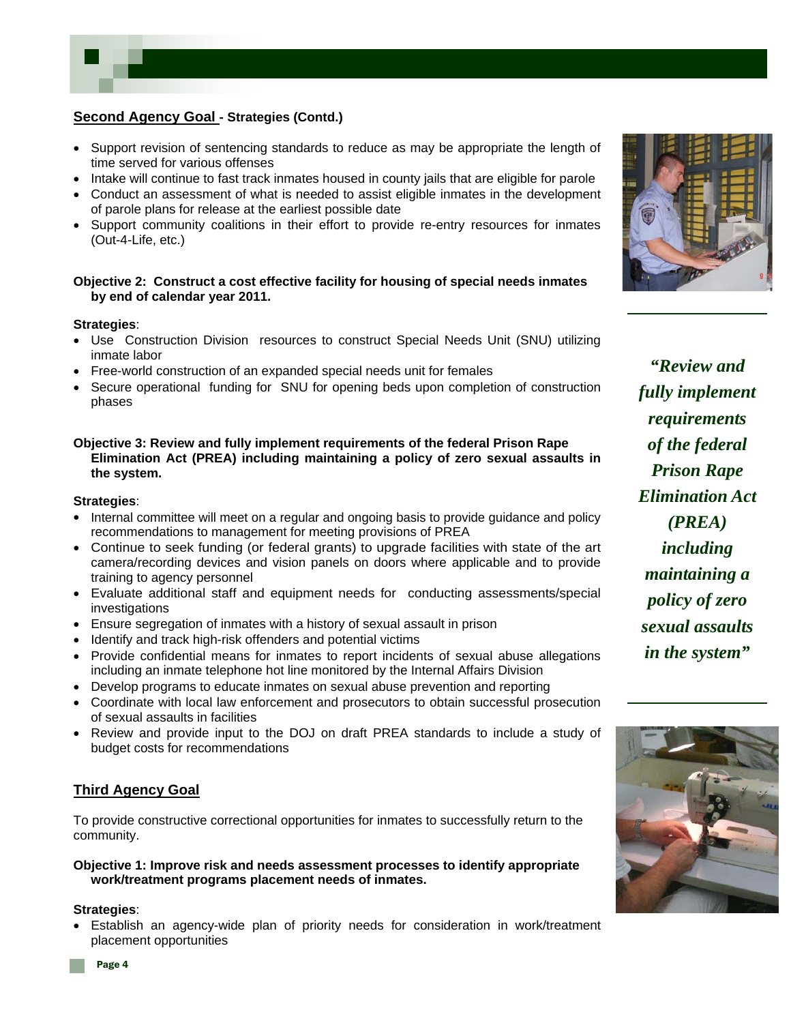# **Second Agency Goal - Strategies (Contd.)**

- Support revision of sentencing standards to reduce as may be appropriate the length of time served for various offenses
- Intake will continue to fast track inmates housed in county jails that are eligible for parole
- Conduct an assessment of what is needed to assist eligible inmates in the development of parole plans for release at the earliest possible date
- Support community coalitions in their effort to provide re-entry resources for inmates (Out-4-Life, etc.)

#### **Objective 2: Construct a cost effective facility for housing of special needs inmates by end of calendar year 2011.**

#### **Strategies**:

- Use Construction Division resources to construct Special Needs Unit (SNU) utilizing inmate labor
- Free-world construction of an expanded special needs unit for females
- Secure operational funding for SNU for opening beds upon completion of construction phases

#### **Objective 3: Review and fully implement requirements of the federal Prison Rape Elimination Act (PREA) including maintaining a policy of zero sexual assaults in the system.**

#### **Strategies**:

- Internal committee will meet on a regular and ongoing basis to provide guidance and policy recommendations to management for meeting provisions of PREA
- Continue to seek funding (or federal grants) to upgrade facilities with state of the art camera/recording devices and vision panels on doors where applicable and to provide training to agency personnel
- Evaluate additional staff and equipment needs for conducting assessments/special investigations
- Ensure segregation of inmates with a history of sexual assault in prison
- Identify and track high-risk offenders and potential victims
- Provide confidential means for inmates to report incidents of sexual abuse allegations including an inmate telephone hot line monitored by the Internal Affairs Division
- Develop programs to educate inmates on sexual abuse prevention and reporting
- Coordinate with local law enforcement and prosecutors to obtain successful prosecution of sexual assaults in facilities
- Review and provide input to the DOJ on draft PREA standards to include a study of budget costs for recommendations

## **Third Agency Goal**

To provide constructive correctional opportunities for inmates to successfully return to the community.

#### **Objective 1: Improve risk and needs assessment processes to identify appropriate work/treatment programs placement needs of inmates.**

#### **Strategies**:

• Establish an agency-wide plan of priority needs for consideration in work/treatment placement opportunities



*"Review and fully implement requirements of the federal Prison Rape Elimination Act (PREA) including maintaining a policy of zero sexual assaults in the system"* 

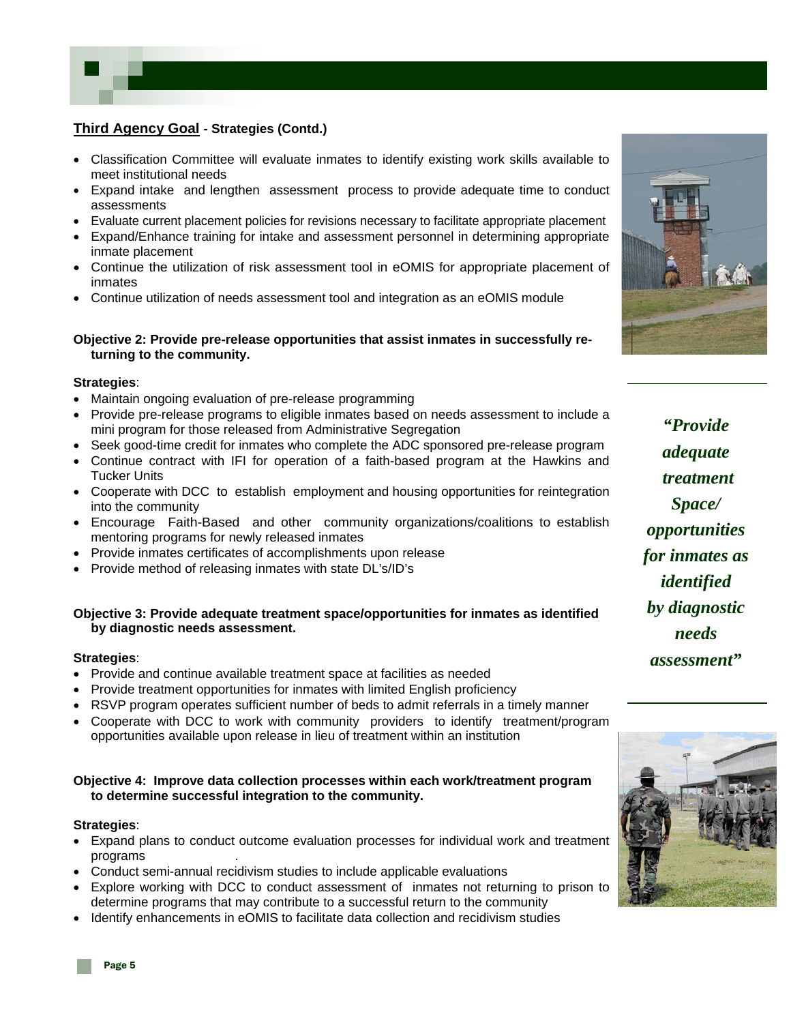

- Classification Committee will evaluate inmates to identify existing work skills available to meet institutional needs
- Expand intake and lengthen assessment process to provide adequate time to conduct assessments
- Evaluate current placement policies for revisions necessary to facilitate appropriate placement
- Expand/Enhance training for intake and assessment personnel in determining appropriate inmate placement
- Continue the utilization of risk assessment tool in eOMIS for appropriate placement of inmates
- Continue utilization of needs assessment tool and integration as an eOMIS module

#### **Objective 2: Provide pre-release opportunities that assist inmates in successfully re turning to the community.**

#### **Strategies**:

- Maintain ongoing evaluation of pre-release programming
- Provide pre-release programs to eligible inmates based on needs assessment to include a mini program for those released from Administrative Segregation
- Seek good-time credit for inmates who complete the ADC sponsored pre-release program
- Continue contract with IFI for operation of a faith-based program at the Hawkins and Tucker Units
- Cooperate with DCC to establish employment and housing opportunities for reintegration into the community
- Encourage Faith-Based and other community organizations/coalitions to establish mentoring programs for newly released inmates
- Provide inmates certificates of accomplishments upon release
- Provide method of releasing inmates with state DL's/ID's

#### **Objective 3: Provide adequate treatment space/opportunities for inmates as identified by diagnostic needs assessment.**

#### **Strategies**:

- Provide and continue available treatment space at facilities as needed
- Provide treatment opportunities for inmates with limited English proficiency
- RSVP program operates sufficient number of beds to admit referrals in a timely manner
- Cooperate with DCC to work with community providers to identify treatment/program opportunities available upon release in lieu of treatment within an institution

#### **Objective 4: Improve data collection processes within each work/treatment program to determine successful integration to the community.**

#### **Strategies**:

- Expand plans to conduct outcome evaluation processes for individual work and treatment programs .
- Conduct semi-annual recidivism studies to include applicable evaluations
- Explore working with DCC to conduct assessment of inmates not returning to prison to determine programs that may contribute to a successful return to the community
- Identify enhancements in eOMIS to facilitate data collection and recidivism studies



*"Provide adequate treatment Space/ opportunities for inmates as identified by diagnostic needs assessment"* 

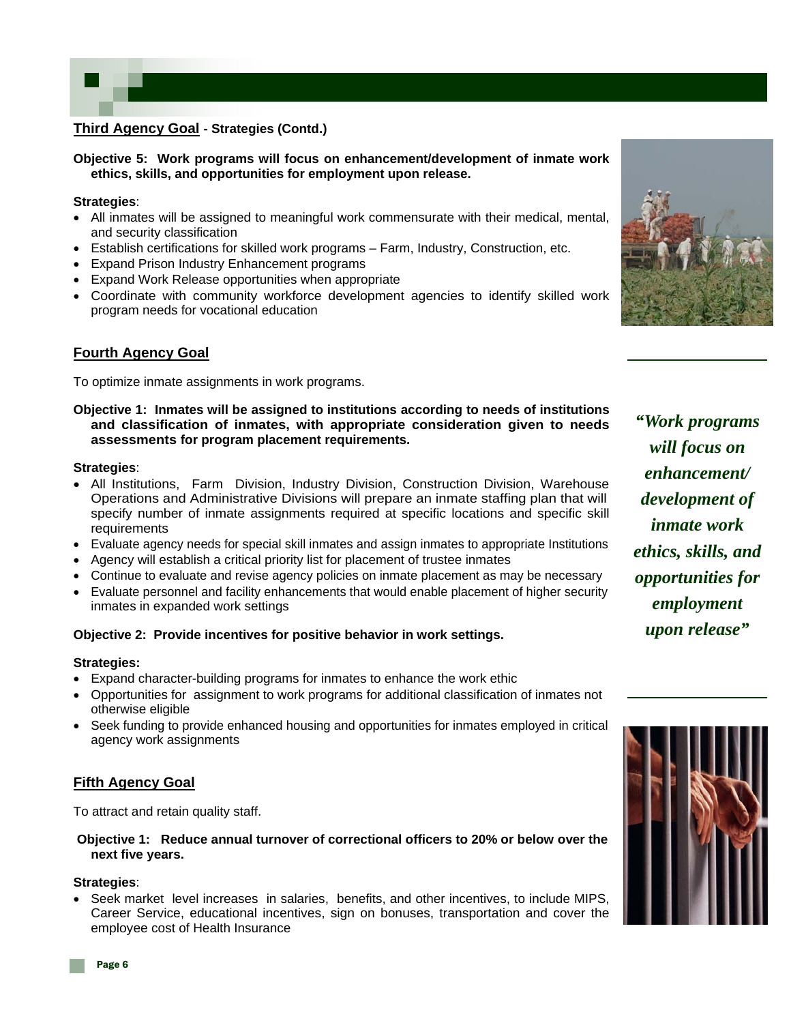## **Third Agency Goal - Strategies (Contd.)**

**Objective 5: Work programs will focus on enhancement/development of inmate work ethics, skills, and opportunities for employment upon release.** 

#### **Strategies**:

- All inmates will be assigned to meaningful work commensurate with their medical, mental, and security classification
- Establish certifications for skilled work programs Farm, Industry, Construction, etc.
- Expand Prison Industry Enhancement programs
- Expand Work Release opportunities when appropriate
- Coordinate with community workforce development agencies to identify skilled work program needs for vocational education



## **Fourth Agency Goal**

To optimize inmate assignments in work programs.

#### **Objective 1: Inmates will be assigned to institutions according to needs of institutions and classification of inmates, with appropriate consideration given to needs assessments for program placement requirements.**

#### **Strategies**:

- All Institutions, Farm Division, Industry Division, Construction Division, Warehouse Operations and Administrative Divisions will prepare an inmate staffing plan that will specify number of inmate assignments required at specific locations and specific skill requirements
- Evaluate agency needs for special skill inmates and assign inmates to appropriate Institutions
- Agency will establish a critical priority list for placement of trustee inmates
- Continue to evaluate and revise agency policies on inmate placement as may be necessary
- Evaluate personnel and facility enhancements that would enable placement of higher security inmates in expanded work settings

## **Objective 2: Provide incentives for positive behavior in work settings.**

#### **Strategies:**

- Expand character-building programs for inmates to enhance the work ethic
- Opportunities for assignment to work programs for additional classification of inmates not otherwise eligible
- Seek funding to provide enhanced housing and opportunities for inmates employed in critical agency work assignments

## **Fifth Agency Goal**

To attract and retain quality staff.

#### **Objective 1: Reduce annual turnover of correctional officers to 20% or below over the next five years.**

# **Strategies**:

• Seek market level increases in salaries, benefits, and other incentives, to include MIPS, Career Service, educational incentives, sign on bonuses, transportation and cover the employee cost of Health Insurance

*"Work programs will focus on enhancement/ development of inmate work ethics, skills, and opportunities for employment upon release"* 

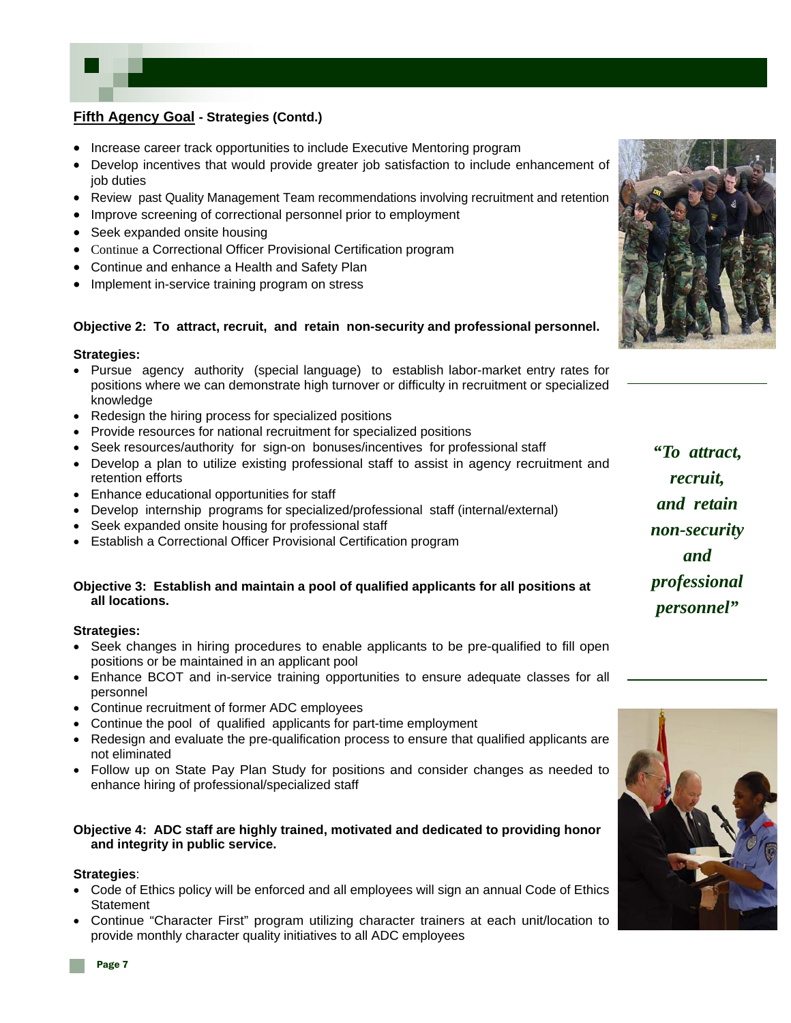

- Increase career track opportunities to include Executive Mentoring program
- Develop incentives that would provide greater job satisfaction to include enhancement of job duties
- Review past Quality Management Team recommendations involving recruitment and retention
- Improve screening of correctional personnel prior to employment
- Seek expanded onsite housing
- Continue a Correctional Officer Provisional Certification program
- Continue and enhance a Health and Safety Plan
- Implement in-service training program on stress

## **Objective 2: To attract, recruit, and retain non-security and professional personnel.**

#### **Strategies:**

- Pursue agency authority (special language) to establish labor-market entry rates for positions where we can demonstrate high turnover or difficulty in recruitment or specialized knowledge
- Redesign the hiring process for specialized positions
- Provide resources for national recruitment for specialized positions
- Seek resources/authority for sign-on bonuses/incentives for professional staff
- Develop a plan to utilize existing professional staff to assist in agency recruitment and retention efforts
- Enhance educational opportunities for staff
- Develop internship programs for specialized/professional staff (internal/external)
- Seek expanded onsite housing for professional staff
- Establish a Correctional Officer Provisional Certification program

#### **Objective 3: Establish and maintain a pool of qualified applicants for all positions at all locations.**

#### **Strategies:**

- Seek changes in hiring procedures to enable applicants to be pre-qualified to fill open positions or be maintained in an applicant pool
- Enhance BCOT and in-service training opportunities to ensure adequate classes for all personnel
- Continue recruitment of former ADC employees
- Continue the pool of qualified applicants for part-time employment
- Redesign and evaluate the pre-qualification process to ensure that qualified applicants are not eliminated
- Follow up on State Pay Plan Study for positions and consider changes as needed to enhance hiring of professional/specialized staff

#### **Objective 4: ADC staff are highly trained, motivated and dedicated to providing honor and integrity in public service.**

#### **Strategies**:

- Code of Ethics policy will be enforced and all employees will sign an annual Code of Ethics **Statement**
- Continue "Character First" program utilizing character trainers at each unit/location to provide monthly character quality initiatives to all ADC employees



*"To attract, recruit, and retain non-security and professional personnel"*